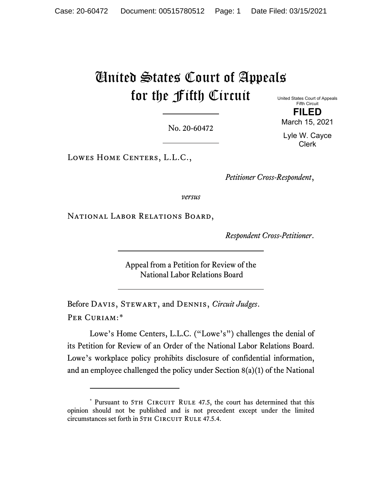# United States Court of Appeals for the Fifth Circuit

United States Court of Appeals Fifth Circuit **FILED**

No. 20-60472

March 15, 2021 Lyle W. Cayce

Clerk

LOWES HOME CENTERS, L.L.C.,

*Petitioner Cross-Respondent*,

*versus*

NATIONAL LABOR RELATIONS BOARD,

*Respondent Cross-Petitioner*.

Appeal from a Petition for Review of the National Labor Relations Board

Before Davis, Stewart, and Dennis, *Circuit Judges*. Per Curiam:[\\*](#page-0-0)

Lowe's Home Centers, L.L.C. ("Lowe's") challenges the denial of its Petition for Review of an Order of the National Labor Relations Board. Lowe's workplace policy prohibits disclosure of confidential information, and an employee challenged the policy under Section 8(a)(1) of the National

<span id="page-0-0"></span><sup>\*</sup> Pursuant to 5TH CIRCUIT RULE 47.5, the court has determined that this opinion should not be published and is not precedent except under the limited circumstances set forth in 5TH CIRCUIT RULE 47.5.4.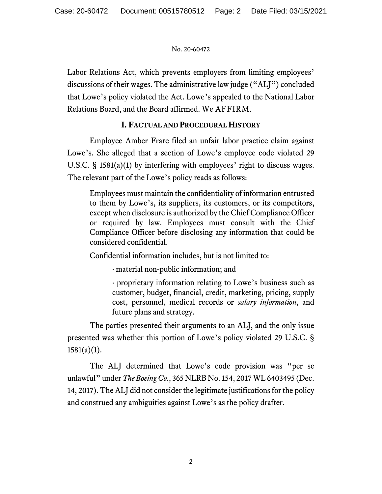Labor Relations Act, which prevents employers from limiting employees' discussions of their wages. The administrative law judge ("ALJ") concluded that Lowe's policy violated the Act. Lowe's appealed to the National Labor Relations Board, and the Board affirmed. We AFFIRM.

# **I. FACTUAL AND PROCEDURAL HISTORY**

Employee Amber Frare filed an unfair labor practice claim against Lowe's. She alleged that a section of Lowe's employee code violated 29 U.S.C. § 1581(a)(1) by interfering with employees' right to discuss wages. The relevant part of the Lowe's policy reads as follows:

Employees must maintain the confidentiality of information entrusted to them by Lowe's, its suppliers, its customers, or its competitors, except when disclosure is authorized by the Chief Compliance Officer or required by law. Employees must consult with the Chief Compliance Officer before disclosing any information that could be considered confidential.

Confidential information includes, but is not limited to:

· material non-public information; and

· proprietary information relating to Lowe's business such as customer, budget, financial, credit, marketing, pricing, supply cost, personnel, medical records or *salary information*, and future plans and strategy.

The parties presented their arguments to an ALJ, and the only issue presented was whether this portion of Lowe's policy violated 29 U.S.C. §  $1581(a)(1)$ .

The ALJ determined that Lowe's code provision was "per se unlawful" under *The Boeing Co.*, 365 NLRB No. 154, 2017 WL 6403495 (Dec. 14, 2017). The ALJ did not consider the legitimate justifications for the policy and construed any ambiguities against Lowe's as the policy drafter.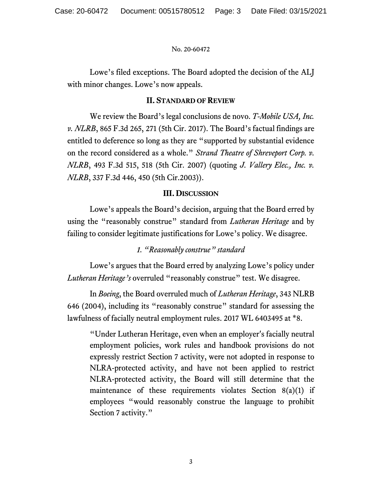Lowe's filed exceptions. The Board adopted the decision of the ALJ with minor changes. Lowe's now appeals.

## **II. STANDARD OF REVIEW**

We review the Board's legal conclusions de novo. *T-Mobile USA, Inc. v. NLRB*, 865 F.3d 265, 271 (5th Cir. 2017). The Board's factual findings are entitled to deference so long as they are "supported by substantial evidence on the record considered as a whole." *Strand Theatre of Shreveport Corp. v. NLRB*, 493 F.3d 515, 518 (5th Cir. 2007) (quoting *J. Vallery Elec., Inc. v. NLRB*, 337 F.3d 446, 450 (5th Cir.2003)).

## **III. DISCUSSION**

Lowe's appeals the Board's decision, arguing that the Board erred by using the "reasonably construe" standard from *Lutheran Heritage* and by failing to consider legitimate justifications for Lowe's policy. We disagree.

## *1. "Reasonably construe" standard*

Lowe's argues that the Board erred by analyzing Lowe's policy under *Lutheran Heritage's* overruled "reasonably construe" test. We disagree.

In *Boeing*, the Board overruled much of *Lutheran Heritage*, 343 NLRB 646 (2004), including its "reasonably construe" standard for assessing the lawfulness of facially neutral employment rules. 2017 WL 6403495 at \*8.

"Under Lutheran Heritage, even when an employer's facially neutral employment policies, work rules and handbook provisions do not expressly restrict Section 7 activity, were not adopted in response to NLRA-protected activity, and have not been applied to restrict NLRA-protected activity, the Board will still determine that the maintenance of these requirements violates Section 8(a)(1) if employees "would reasonably construe the language to prohibit Section 7 activity."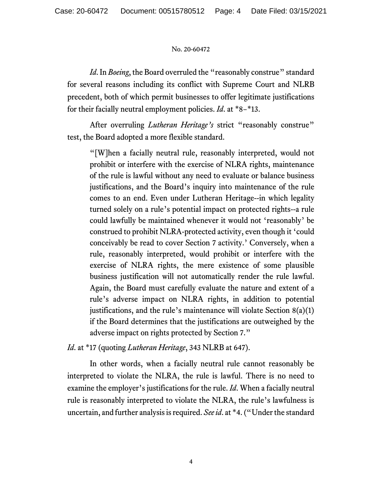*Id*. In *Boeing*, the Board overruled the "reasonably construe" standard for several reasons including its conflict with Supreme Court and NLRB precedent, both of which permit businesses to offer legitimate justifications for their facially neutral employment policies. *Id*. at \*8−\*13.

After overruling *Lutheran Heritage's* strict "reasonably construe" test, the Board adopted a more flexible standard.

"[W]hen a facially neutral rule, reasonably interpreted, would not prohibit or interfere with the exercise of NLRA rights, maintenance of the rule is lawful without any need to evaluate or balance business justifications, and the Board's inquiry into maintenance of the rule comes to an end. Even under Lutheran Heritage--in which legality turned solely on a rule's potential impact on protected rights--a rule could lawfully be maintained whenever it would not 'reasonably' be construed to prohibit NLRA-protected activity, even though it 'could conceivably be read to cover Section 7 activity.' Conversely, when a rule, reasonably interpreted, would prohibit or interfere with the exercise of NLRA rights, the mere existence of some plausible business justification will not automatically render the rule lawful. Again, the Board must carefully evaluate the nature and extent of a rule's adverse impact on NLRA rights, in addition to potential justifications, and the rule's maintenance will violate Section  $8(a)(1)$ if the Board determines that the justifications are outweighed by the adverse impact on rights protected by Section 7."

*Id*. at \*17 (quoting *Lutheran Heritage*, 343 NLRB at 647).

In other words, when a facially neutral rule cannot reasonably be interpreted to violate the NLRA, the rule is lawful. There is no need to examine the employer's justifications for the rule. *Id*. When a facially neutral rule is reasonably interpreted to violate the NLRA, the rule's lawfulness is uncertain, and further analysis is required. *See id*. at \*4. ("Under the standard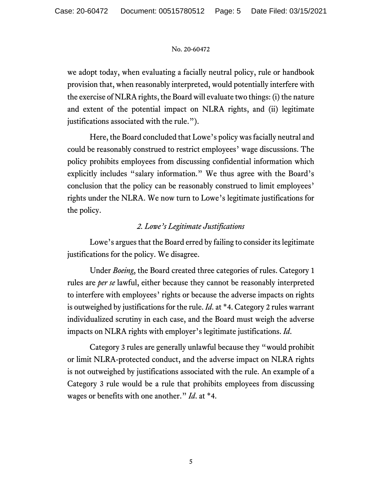we adopt today, when evaluating a facially neutral policy, rule or handbook provision that, when reasonably interpreted, would potentially interfere with the exercise of NLRA rights, the Board will evaluate two things: (i) the nature and extent of the potential impact on NLRA rights, and (ii) legitimate justifications associated with the rule.").

Here, the Board concluded that Lowe's policy was facially neutral and could be reasonably construed to restrict employees' wage discussions. The policy prohibits employees from discussing confidential information which explicitly includes "salary information." We thus agree with the Board's conclusion that the policy can be reasonably construed to limit employees' rights under the NLRA. We now turn to Lowe's legitimate justifications for the policy.

# *2. Lowe's Legitimate Justifications*

Lowe's argues that the Board erred by failing to consider its legitimate justifications for the policy. We disagree.

Under *Boeing*, the Board created three categories of rules. Category 1 rules are *per se* lawful, either because they cannot be reasonably interpreted to interfere with employees' rights or because the adverse impacts on rights is outweighed by justifications for the rule. *Id*. at \*4. Category 2 rules warrant individualized scrutiny in each case, and the Board must weigh the adverse impacts on NLRA rights with employer's legitimate justifications. *Id*.

Category 3 rules are generally unlawful because they "would prohibit or limit NLRA-protected conduct, and the adverse impact on NLRA rights is not outweighed by justifications associated with the rule. An example of a Category 3 rule would be a rule that prohibits employees from discussing wages or benefits with one another." *Id*. at \*4.